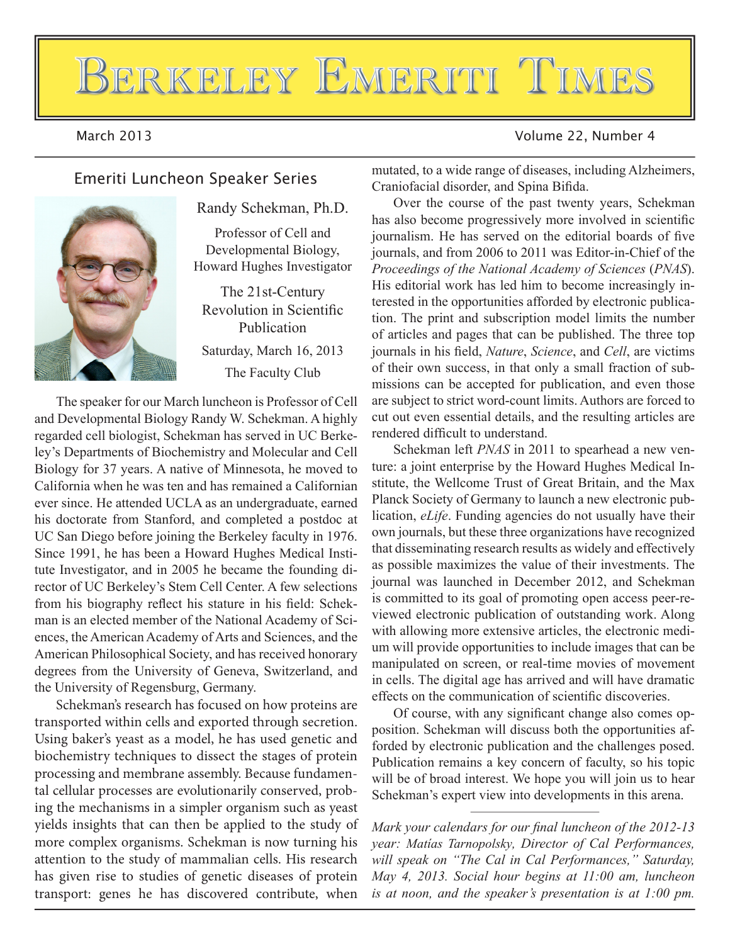# BERKELEY EMERITI TIMES

### March 2013 Volume 22, Number 4



Randy Schekman, Ph.D.

Professor of Cell and Developmental Biology, Howard Hughes Investigator

The 21st-Century Revolution in Scientific Publication Saturday, March 16, 2013 The Faculty Club

The speaker for our March luncheon is Professor of Cell and Developmental Biology Randy W. Schekman. A highly regarded cell biologist, Schekman has served in UC Berkeley's Departments of Biochemistry and Molecular and Cell Biology for 37 years. A native of Minnesota, he moved to California when he was ten and has remained a Californian ever since. He attended UCLA as an undergraduate, earned his doctorate from Stanford, and completed a postdoc at UC San Diego before joining the Berkeley faculty in 1976. Since 1991, he has been a Howard Hughes Medical Institute Investigator, and in 2005 he became the founding director of UC Berkeley's Stem Cell Center. A few selections from his biography reflect his stature in his field: Schekman is an elected member of the National Academy of Sciences, the American Academy of Arts and Sciences, and the American Philosophical Society, and has received honorary degrees from the University of Geneva, Switzerland, and the University of Regensburg, Germany.

Schekman's research has focused on how proteins are transported within cells and exported through secretion. Using baker's yeast as a model, he has used genetic and biochemistry techniques to dissect the stages of protein processing and membrane assembly. Because fundamental cellular processes are evolutionarily conserved, probing the mechanisms in a simpler organism such as yeast yields insights that can then be applied to the study of more complex organisms. Schekman is now turning his attention to the study of mammalian cells. His research has given rise to studies of genetic diseases of protein transport: genes he has discovered contribute, when

Emeriti Luncheon Speaker Series mutated, to a wide range of diseases, including Alzheimers, Craniofacial disorder, and Spina Bifida.

> Over the course of the past twenty years, Schekman has also become progressively more involved in scientific journalism. He has served on the editorial boards of five journals, and from 2006 to 2011 was Editor-in-Chief of the *Proceedings of the National Academy of Sciences (PNAS).* His editorial work has led him to become increasingly interested in the opportunities afforded by electronic publication. The print and subscription model limits the number of articles and pages that can be published. The three top journals in his field, *Nature*, *Science*, and *Cell*, are victims of their own success, in that only a small fraction of submissions can be accepted for publication, and even those are subject to strict word-count limits. Authors are forced to cut out even essential details, and the resulting articles are rendered difficult to understand.

> Schekman left *PNAS* in 2011 to spearhead a new venture: a joint enterprise by the Howard Hughes Medical Institute, the Wellcome Trust of Great Britain, and the Max Planck Society of Germany to launch a new electronic publication, *eLife*. Funding agencies do not usually have their own journals, but these three organizations have recognized that disseminating research results as widely and effectively as possible maximizes the value of their investments. The journal was launched in December 2012, and Schekman is committed to its goal of promoting open access peer-reviewed electronic publication of outstanding work. Along with allowing more extensive articles, the electronic medium will provide opportunities to include images that can be manipulated on screen, or real-time movies of movement in cells. The digital age has arrived and will have dramatic effects on the communication of scientific discoveries.

> Of course, with any significant change also comes opposition. Schekman will discuss both the opportunities afforded by electronic publication and the challenges posed. Publication remains a key concern of faculty, so his topic will be of broad interest. We hope you will join us to hear Schekman's expert view into developments in this arena.

> *Mark your calendars for our final luncheon of the 2012-13 year: Matías Tarnopolsky, Director of Cal Performances, will speak on "The Cal in Cal Performances," Saturday, May 4, 2013. Social hour begins at 11:00 am, luncheon is at noon, and the speaker's presentation is at*  $1:00$  *pm.*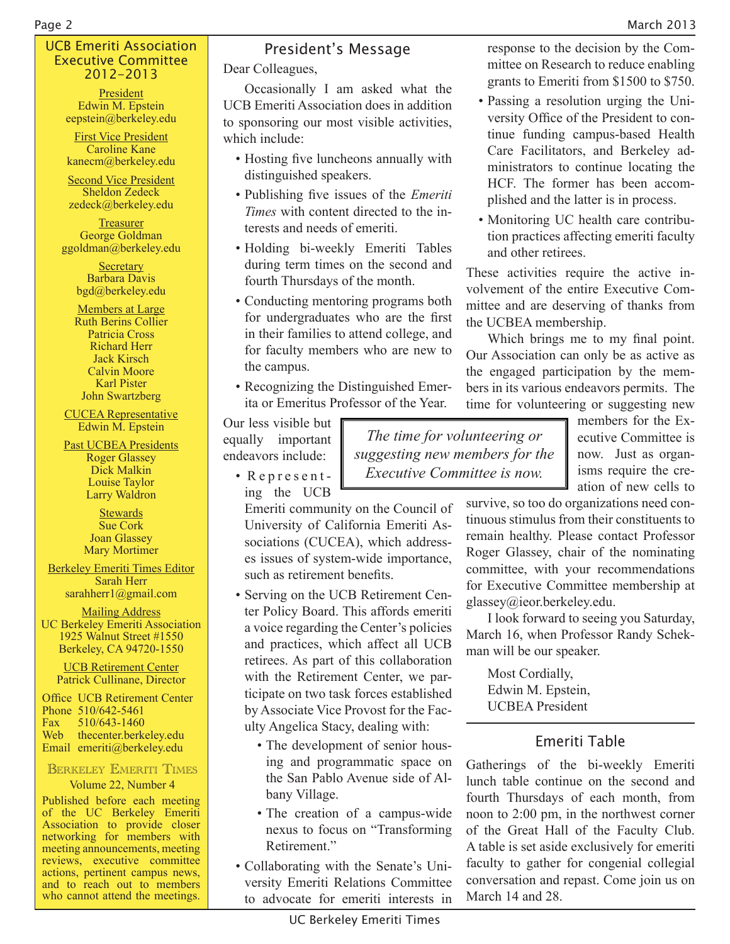response to the decision by the Committee on Research to reduce enabling grants to Emeriti from \$1500 to \$750. • Passing a resolution urging the University Office of the President to continue funding campus-based Health Care Facilitators, and Berkeley administrators to continue locating the HCF. The former has been accomplished and the latter is in process. • Monitoring UC health care contribution practices affecting emeriti faculty

#### UCB Emeriti Association Executive Committee 2012-2013

President Edwin M. Epstein eepstein@berkeley.edu

**First Vice President** Caroline Kane kanecm@berkeley.edu

**Second Vice President** Sheldon Zedeck zedeck@berkeley.edu

Treasurer George Goldman ggoldman@berkeley.edu

> **Secretary** Barbara Davis bgd@berkeley.edu

Members at Large Ruth Berins Collier Patricia Cross **Richard Herr** Jack Kirsch Calvin Moore Karl Pister John Swartzberg

**CUCEA** Representative Edwin M. Epstein

Past UCBEA Presidents

**Roger Glassey** Dick Malkin Louise Taylor Larry Waldron

**Stewards Sue Cork** Joan Glassey Mary Mortimer

Berkeley Emeriti Times Editor Sarah Herr sarahherr1@gmail.com

**Mailing Address** UC Berkeley Emeriti Association 1925 Walnut Street #1550 Berkeley, CA 94720-1550

**UCB Retirement Center** Patrick Cullinane, Director

Office UCB Retirement Center Phone 510/642-5461 Fax 510/643-1460 Web thecenter.berkeley.edu Email emeriti@berkeley.edu

# BERKELEY EMERITI TIMES

#### Volume 22, Number 4

Published before each meeting of the UC Berkeley Emeriti Association to provide closer networking for members with meeting announcements, meeting reviews, executive committee actions, pertinent campus news, and to reach out to members who cannot attend the meetings.

# President's Message

Dear Colleagues,

Occasionally I am asked what the UCB Emeriti Association does in addition to sponsoring our most visible activities, which include:

- Hosting five luncheons annually with distinguished speakers.
- Publishing five issues of the *Emeriti Times* with content directed to the interests and needs of emeriti.
- Holding bi-weekly Emeriti Tables during term times on the second and fourth Thursdays of the month.
- Conducting mentoring programs both for undergraduates who are the first in their families to attend college, and for faculty members who are new to the campus.
- Recognizing the Distinguished Emerita or Emeritus Professor of the Year.

Our less visible but equally important endeavors include:

 $\cdot$  Represent-

*The time for volunteering or* suggesting new members for the *Executive Committee is now.* 

members for the Executive Committee is now. Just as organisms require the creation of new cells to

ing the UCB Emeriti community on the Council of University of California Emeriti Associations (CUCEA), which addresses issues of system-wide importance, such as retirement benefits.

- Serving on the UCB Retirement Center Policy Board. This affords emeriti a voice regarding the Center's policies and practices, which affect all UCB retirees. As part of this collaboration with the Retirement Center, we participate on two task forces established by Associate Vice Provost for the Faculty Angelica Stacy, dealing with:
	- The development of senior housing and programmatic space on the San Pablo Avenue side of Albany Village.
	- The creation of a campus-wide nexus to focus on "Transforming Retirement."
- Collaborating with the Senate's University Emeriti Relations Committee to advocate for emeriti interests in

survive, so too do organizations need continuous stimulus from their constituents to remain healthy. Please contact Professor Roger Glassey, chair of the nominating committee, with your recommendations for Executive Committee membership at glassey@ieor.berkeley.edu.

I look forward to seeing you Saturday, March 16, when Professor Randy Schekman will be our speaker.

Most Cordially, Edwin M. Epstein, **UCBEA** President

and other retirees.

the UCBEA membership.

These activities require the active involvement of the entire Executive Committee and are deserving of thanks from

Which brings me to my final point. Our Association can only be as active as the engaged participation by the members in its various endeavors permits. The time for volunteering or suggesting new

# Emeriti Table

Gatherings of the bi-weekly Emeriti lunch table continue on the second and fourth Thursdays of each month, from noon to  $2:00$  pm, in the northwest corner of the Great Hall of the Faculty Club. A table is set aside exclusively for emeriti faculty to gather for congenial collegial conversation and repast. Come join us on March  $14$  and  $28$ .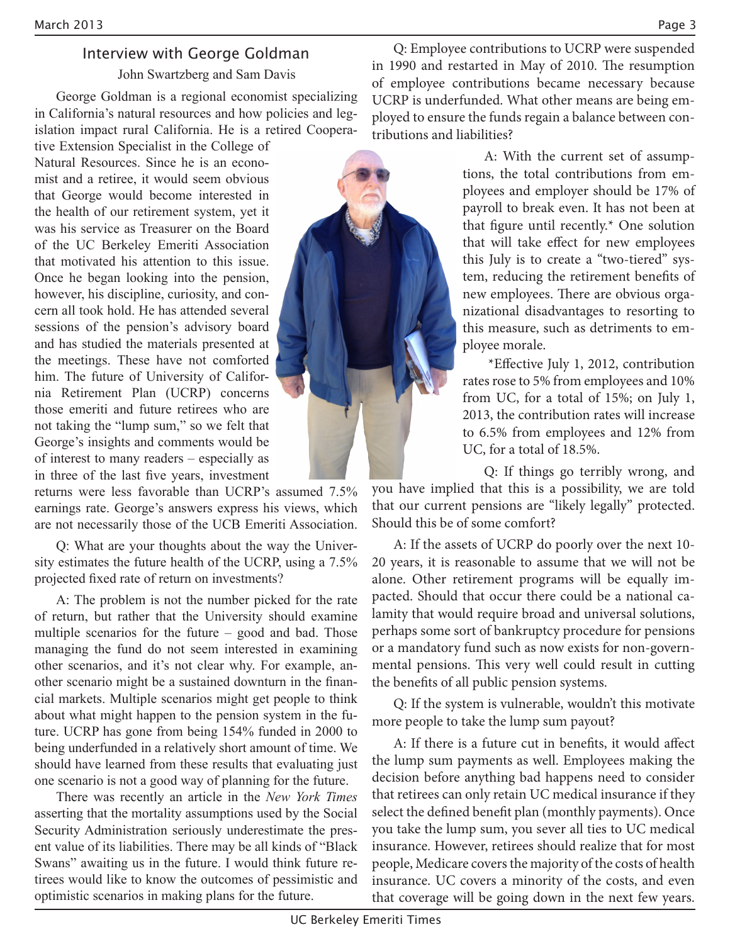# Interview with George Goldman

John Swartzberg and Sam Davis

George Goldman is a regional economist specializing in California's natural resources and how policies and legislation impact rural California. He is a retired Coopera-

tive Extension Specialist in the College of Natural Resources. Since he is an economist and a retiree, it would seem obvious that George would become interested in the health of our retirement system, yet it was his service as Treasurer on the Board of the UC Berkeley Emeriti Association that motivated his attention to this issue. Once he began looking into the pension, however, his discipline, curiosity, and concern all took hold. He has attended several sessions of the pension's advisory board and has studied the materials presented at the meetings. These have not comforted him. The future of University of California Retirement Plan (UCRP) concerns those emeriti and future retirees who are not taking the "lump sum," so we felt that George's insights and comments would be of interest to many readers – especially as in three of the last five years, investment

returns were less favorable than UCRP's assumed 7.5% earnings rate. George's answers express his views, which are not necessarily those of the UCB Emeriti Association.

Q: What are your thoughts about the way the University estimates the future health of the UCRP, using a  $7.5\%$ projected fixed rate of return on investments?

A: The problem is not the number picked for the rate of return, but rather that the University should examine multiple scenarios for the future – good and bad. Those managing the fund do not seem interested in examining other scenarios, and it's not clear why. For example, another scenario might be a sustained downturn in the financial markets. Multiple scenarios might get people to think about what might happen to the pension system in the future. UCRP has gone from being  $154%$  funded in 2000 to being underfunded in a relatively short amount of time. We should have learned from these results that evaluating just one scenario is not a good way of planning for the future.

There was recently an article in the *New York Times* asserting that the mortality assumptions used by the Social Security Administration seriously underestimate the present value of its liabilities. There may be all kinds of "Black" Swans" awaiting us in the future. I would think future retirees would like to know the outcomes of pessimistic and optimistic scenarios in making plans for the future.



A: With the current set of assumptions, the total contributions from employees and employer should be 17% of payroll to break even. It has not been at that figure until recently.\* One solution that will take effect for new employees this July is to create a "two-tiered" system, reducing the retirement benefits of new employees. There are obvious organizational disadvantages to resorting to this measure, such as detriments to employee morale.

 \*E#ective July 1, 2012, contribution rates rose to 5% from employees and 10% from UC, for a total of 15%; on July 1, 2013, the contribution rates will increase to 6.5% from employees and 12% from UC, for a total of 18.5%.

Q: If things go terribly wrong, and you have implied that this is a possibility, we are told that our current pensions are "likely legally" protected. Should this be of some comfort?

A: If the assets of UCRP do poorly over the next 10- 20 years, it is reasonable to assume that we will not be alone. Other retirement programs will be equally impacted. Should that occur there could be a national calamity that would require broad and universal solutions, perhaps some sort of bankruptcy procedure for pensions or a mandatory fund such as now exists for non-governmental pensions. This very well could result in cutting the benefits of all public pension systems.

Q: If the system is vulnerable, wouldn't this motivate more people to take the lump sum payout?

A: If there is a future cut in benefits, it would affect the lump sum payments as well. Employees making the decision before anything bad happens need to consider that retirees can only retain UC medical insurance if they select the defined benefit plan (monthly payments). Once you take the lump sum, you sever all ties to UC medical insurance. However, retirees should realize that for most people, Medicare covers the majority of the costs of health insurance. UC covers a minority of the costs, and even that coverage will be going down in the next few years.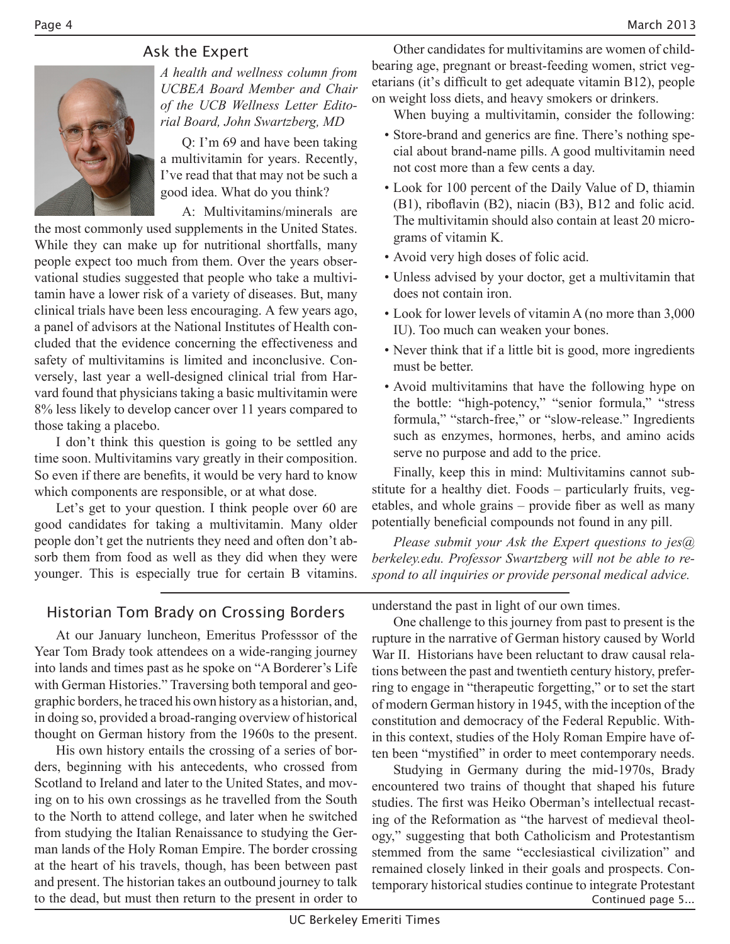# Ask the Expert



*A+health+and+wellness+column+from+ UCBEA Board Member and Chair*  $of$  the UCB Wellness Letter Edito $rial$ *Board, John Swartzberg, MD* 

Q: I'm  $69$  and have been taking a multivitamin for years. Recently, I've read that that may not be such a good idea. What do you think?

A: Multivitamins/minerals are

the most commonly used supplements in the United States. While they can make up for nutritional shortfalls, many people expect too much from them. Over the years observational studies suggested that people who take a multivitamin have a lower risk of a variety of diseases. But, many clinical trials have been less encouraging. A few years ago, a panel of advisors at the National Institutes of Health concluded that the evidence concerning the effectiveness and safety of multivitamins is limited and inconclusive. Conversely, last year a well-designed clinical trial from Harvard found that physicians taking a basic multivitamin were 8% less likely to develop cancer over 11 years compared to those taking a placebo.

I don't think this question is going to be settled any time soon. Multivitamins vary greatly in their composition. So even if there are benefits, it would be very hard to know which components are responsible, or at what dose.

Let's get to your question. I think people over 60 are good candidates for taking a multivitamin. Many older people don't get the nutrients they need and often don't absorb them from food as well as they did when they were younger. This is especially true for certain B vitamins.

Other candidates for multivitamins are women of childbearing age, pregnant or breast-feeding women, strict vegetarians (it's difficult to get adequate vitamin B12), people on weight loss diets, and heavy smokers or drinkers.

When buying a multivitamin, consider the following:

- Store-brand and generics are fine. There's nothing special about brand-name pills. A good multivitamin need not cost more than a few cents a day.
- Look for 100 percent of the Daily Value of D, thiamin  $(B1)$ , riboflavin  $(B2)$ , niacin  $(B3)$ ,  $B12$  and folic acid. The multivitamin should also contain at least 20 micrograms of vitamin K.
- Avoid very high doses of folic acid.
- Unless advised by your doctor, get a multivitamin that does not contain iron.
- Look for lower levels of vitamin A (no more than 3,000 IU). Too much can weaken your bones.
- Never think that if a little bit is good, more ingredients must be better.
- . Avoid multivitamins that have the following hype on the bottle: "high-potency," "senior formula," "stress formula," "starch-free," or "slow-release." Ingredients such as enzymes, hormones, herbs, and amino acids serve no purpose and add to the price.

Finally, keep this in mind: Multivitamins cannot substitute for a healthy diet. Foods – particularly fruits, vegetables, and whole grains – provide fiber as well as many potentially beneficial compounds not found in any pill.

*Please submit your Ask the Expert questions to jes@* berkeley.edu. Professor Swartzberg will not be able to respond to all inquiries or provide personal medical advice.

# Historian Tom Brady on Crossing Borders

At our January luncheon, Emeritus Professsor of the Year Tom Brady took attendees on a wide-ranging journey into lands and times past as he spoke on "A Borderer's Life with German Histories." Traversing both temporal and geographic borders, he traced his own history as a historian, and, in doing so, provided a broad-ranging overview of historical thought on German history from the 1960s to the present.

His own history entails the crossing of a series of borders, beginning with his antecedents, who crossed from Scotland to Ireland and later to the United States, and moving on to his own crossings as he travelled from the South to the North to attend college, and later when he switched from studying the Italian Renaissance to studying the German lands of the Holy Roman Empire. The border crossing at the heart of his travels, though, has been between past and present. The historian takes an outbound journey to talk to the dead, but must then return to the present in order to

understand the past in light of our own times.

One challenge to this journey from past to present is the rupture in the narrative of German history caused by World War II. Historians have been reluctant to draw causal relations between the past and twentieth century history, preferring to engage in "therapeutic forgetting," or to set the start of modern German history in 1945, with the inception of the constitution and democracy of the Federal Republic. Within this context, studies of the Holy Roman Empire have often been "mystified" in order to meet contemporary needs.

Studying in Germany during the mid-1970s, Brady encountered two trains of thought that shaped his future studies. The first was Heiko Oberman's intellectual recasting of the Reformation as "the harvest of medieval theology," suggesting that both Catholicism and Protestantism stemmed from the same "ecclesiastical civilization" and remained closely linked in their goals and prospects. Contemporary historical studies continue to integrate Protestant Continued page 5...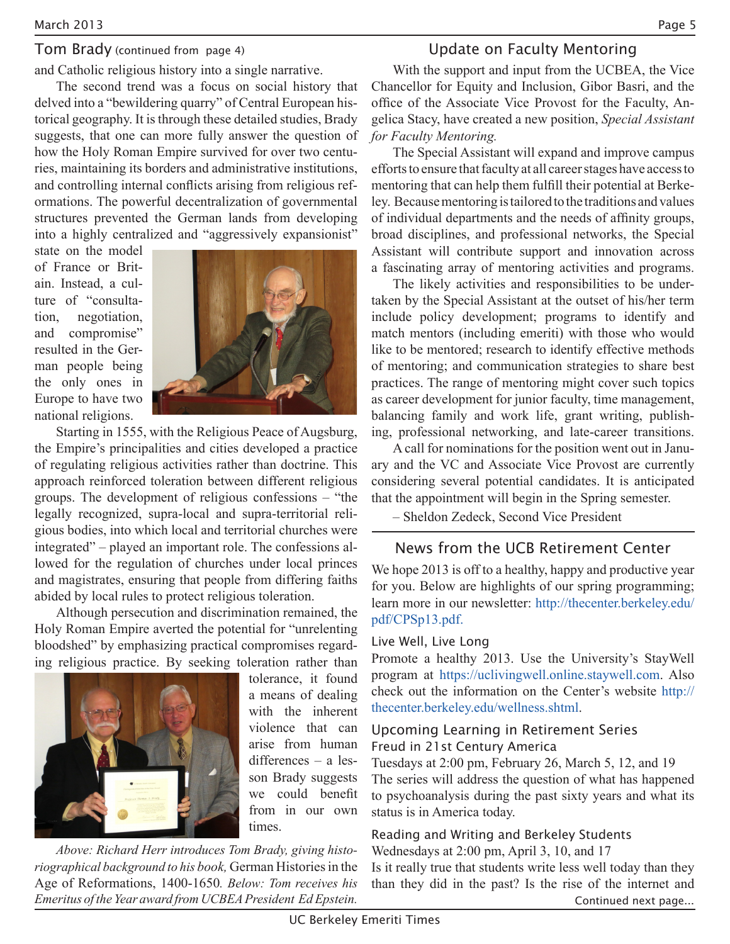### Tom Brady (continued from page 4)

and Catholic religious history into a single narrative.

The second trend was a focus on social history that delved into a "bewildering quarry" of Central European historical geography. It is through these detailed studies, Brady suggests, that one can more fully answer the question of how the Holy Roman Empire survived for over two centuries, maintaining its borders and administrative institutions, and controlling internal conflicts arising from religious reformations. The powerful decentralization of governmental structures prevented the German lands from developing into a highly centralized and "aggressively expansionist"

state on the model of France or Britain. Instead, a culture of "consultation, negotiation, and compromise" resulted in the German people being the only ones in Europe to have two national religions.



Starting in 1555, with the Religious Peace of Augsburg, the Empire's principalities and cities developed a practice of regulating religious activities rather than doctrine. This approach reinforced toleration between different religious groups. The development of religious confessions – "the legally recognized, supra-local and supra-territorial religious bodies, into which local and territorial churches were integrated" – played an important role. The confessions allowed for the regulation of churches under local princes and magistrates, ensuring that people from differing faiths abided by local rules to protect religious toleration.

Although persecution and discrimination remained, the Holy Roman Empire averted the potential for "unrelenting" bloodshed" by emphasizing practical compromises regarding religious practice. By seeking toleration rather than



tolerance, it found a means of dealing with the inherent violence that can arise from human differences –  $a$  lesson Brady suggests we could benefit from in our own times.

*Above: Richard Herr introduces Tom Brady, giving historiographical background to his book*, German Histories in the Age of Reformations, 1400-1650. Below: Tom receives his Emeritus of the Year award from UCBEA President Ed Epstein.

# Update on Faculty Mentoring

With the support and input from the UCBEA, the Vice Chancellor for Equity and Inclusion, Gibor Basri, and the office of the Associate Vice Provost for the Faculty, Angelica Stacy, have created a new position, Special Assistant *for Faculty Mentoring.* 

The Special Assistant will expand and improve campus efforts to ensure that faculty at all career stages have access to mentoring that can help them fulfill their potential at Berkeley. Because mentoring is tailored to the traditions and values of individual departments and the needs of affinity groups, broad disciplines, and professional networks, the Special Assistant will contribute support and innovation across a fascinating array of mentoring activities and programs.

The likely activities and responsibilities to be undertaken by the Special Assistant at the outset of his/her term include policy development; programs to identify and match mentors (including emeriti) with those who would like to be mentored; research to identify effective methods of mentoring; and communication strategies to share best practices. The range of mentoring might cover such topics as career development for junior faculty, time management, balancing family and work life, grant writing, publishing, professional networking, and late-career transitions.

A call for nominations for the position went out in January and the VC and Associate Vice Provost are currently considering several potential candidates. It is anticipated that the appointment will begin in the Spring semester.

–&Sheldon&Zedeck,&Second&Vice&President

# News from the UCB Retirement Center

We hope 2013 is off to a healthy, happy and productive year for you. Below are highlights of our spring programming; learn more in our newsletter: http://thecenter.berkeley.edu/ pdf/CPSp13.pdf.

#### Live Well, Live Long

Promote a healthy 2013. Use the University's StayWell program at https://uclivingwell.online.staywell.com. Also check out the information on the Center's website http:// thecenter.berkeley.edu/wellness.shtml.&

# Upcoming Learning in Retirement Series Freud in 21st Century America

Tuesdays at 2:00 pm, February 26, March 5, 12, and 19 The series will address the question of what has happened to psychoanalysis during the past sixty years and what its status is in America today.

# Reading and Writing and Berkeley Students

Wednesdays at  $2:00$  pm, April 3, 10, and 17 Is it really true that students write less well today than they than they did in the past? Is the rise of the internet and Continued next page...